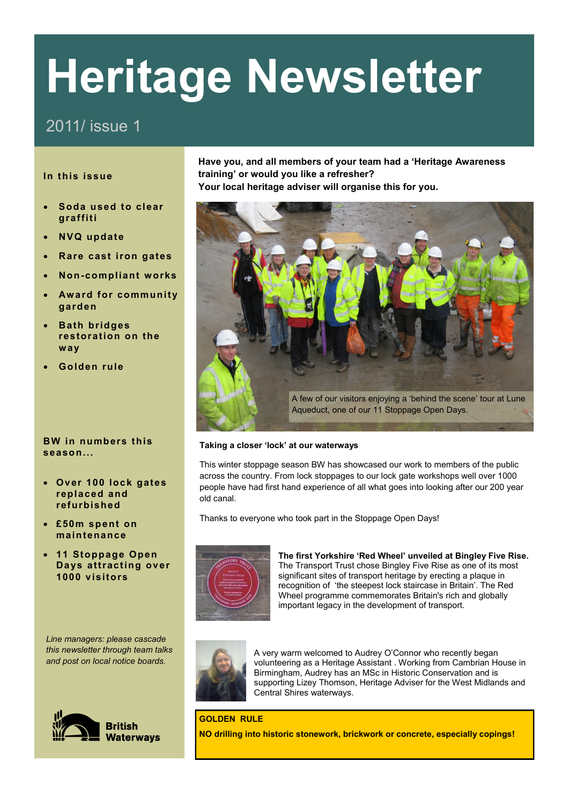# **Heritage Newsletter**

## 2011/ issue 1

### **In this issue**

- **Soda used to clear graffiti**
- **NVQ update**
- **Rare cast iron gates**
- **Non-compliant works**
- **Award for community garden**
- **Bath bridges restoration on the way**
- **Golden rule**

#### **BW in numbers this season...**

- **Over 100 lock gates replaced and refurbished**
- **£50m spent on maintenance**
- **11 Stoppage Open Days attracting over 1000 visitors**

*Line managers: please cascade this newsletter through team talks and post on local notice boards.*



**Have you, and all members of your team had a 'Heritage Awareness training' or would you like a refresher? Your local heritage adviser will organise this for you.**



#### **Taking a closer 'lock' at our waterways**

This winter stoppage season BW has showcased our work to members of the public across the country. From lock stoppages to our lock gate workshops well over 1000 people have had first hand experience of all what goes into looking after our 200 year old canal.

Thanks to everyone who took part in the Stoppage Open Days!



**The first Yorkshire 'Red Wheel' unveiled at Bingley Five Rise.** The Transport Trust chose Bingley Five Rise as one of its most significant sites of transport heritage by erecting a plaque in recognition of 'the steepest lock staircase in Britain'. The [Red](http://www.transporttrust.com/11045.html)  [Wheel](http://www.transporttrust.com/11045.html) programme commemorates Britain's rich and globally important legacy in the development of transport.



A very warm welcomed to Audrey O'Connor who recently began volunteering as a Heritage Assistant . Working from Cambrian House in Birmingham, Audrey has an MSc in Historic Conservation and is supporting Lizey Thomson, Heritage Adviser for the West Midlands and Central Shires waterways.

**GOLDEN RULE NO drilling into historic stonework, brickwork or concrete, especially copings!**